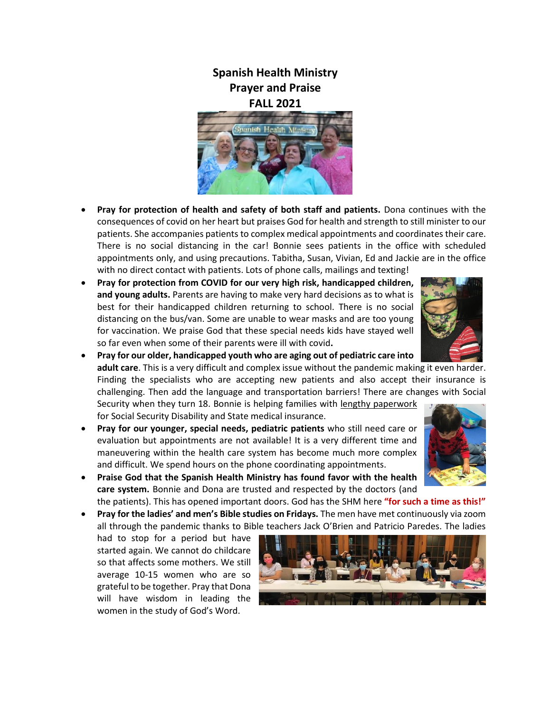## **Spanish Health Ministry Prayer and Praise FALL 2021**



- **Pray for protection of health and safety of both staff and patients.** Dona continues with the consequences of covid on her heart but praises God for health and strength to still minister to our patients. She accompanies patients to complex medical appointments and coordinates their care. There is no social distancing in the car! Bonnie sees patients in the office with scheduled appointments only, and using precautions. Tabitha, Susan, Vivian, Ed and Jackie are in the office with no direct contact with patients. Lots of phone calls, mailings and texting!
- **Pray for protection from COVID for our very high risk, handicapped children, and young adults.** Parents are having to make very hard decisions as to what is best for their handicapped children returning to school. There is no social distancing on the bus/van. Some are unable to wear masks and are too young for vaccination. We praise God that these special needs kids have stayed well so far even when some of their parents were ill with covid**.**



- **Pray for our older, handicapped youth who are aging out of pediatric care into adult care**. This is a very difficult and complex issue without the pandemic making it even harder. Finding the specialists who are accepting new patients and also accept their insurance is challenging. Then add the language and transportation barriers! There are changes with Social Security when they turn 18. Bonnie is helping families with lengthy paperwork for Social Security Disability and State medical insurance.
- **Pray for our younger, special needs, pediatric patients** who still need care or evaluation but appointments are not available! It is a very different time and maneuvering within the health care system has become much more complex and difficult. We spend hours on the phone coordinating appointments.
	-



 **Praise God that the Spanish Health Ministry has found favor with the health care system.** Bonnie and Dona are trusted and respected by the doctors (and

the patients). This has opened important doors. God has the SHM here **"for such a time as this!" Pray for the ladies' and men's Bible studies on Fridays.** The men have met continuously via zoom

all through the pandemic thanks to Bible teachers Jack O'Brien and Patricio Paredes. The ladies

had to stop for a period but have started again. We cannot do childcare so that affects some mothers. We still average 10-15 women who are so grateful to be together. Pray that Dona will have wisdom in leading the women in the study of God's Word.